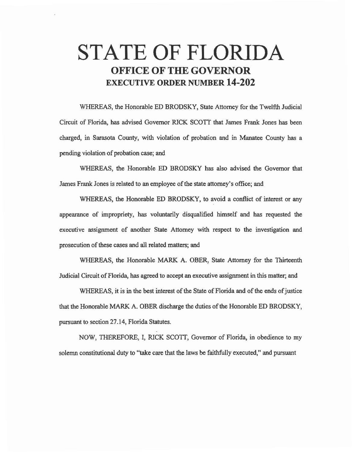## **STATE OF FLORIDA OFFICE OF THE GOVERNOR EXECUTIVE ORDER NUMBER 14-202**

WHEREAS, the Honorable ED BRODSKY, State Attorney for the Twelfth Judicial Circuit of Florida, has advised Governor RICK SCOTT that James Frank Jones has been charged, in Sarasota County, with violation of probation and in Manatee County has a pending violation of probation case; and

WHEREAS, the Honorable ED BRODSKY has also advised the Governor that James Frank Jones is related to an employee of the state attorney's office; and

WHEREAS, the Honorable ED BRODSKY, to avoid a conflict of interest or any appearance of impropriety, has voluntarily disqualified himself and has requested the executive assignment of another State Attorney with respect to the investigation and prosecution of these cases and all related matters; and

WHEREAS, the Honorable MARK A. OBER, State Attorney for the Thirteenth Judicial Circuit of Florida, has agreed to accept an executive assignment in this matter; and

WHEREAS, it is in the best interest of the State of Florida and of the ends of justice that the Honorable MARK A. OBER discharge the duties of the Honorable ED BRODSKY, pursuant to section 27 .14, Florida Statutes.

NOW, THEREFORE, I, RICK SCOTT, Governor of Florida, in obedience to my solemn constitutional duty to ''take care that the laws be faithfully executed," and pursuant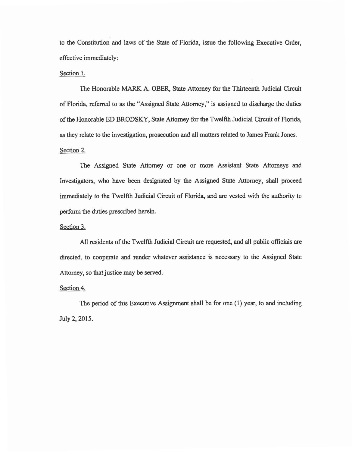to the Constitution and laws of the State of Florida, issue the following Executive Order, effective immediately:

## Section 1.

The Honorable MARK A. OBER, State Attorney for the Thirteenth Judicial Circuit of Florida, referred to as the "Assigned State Attorney," is assigned to discharge the duties of the Honorable ED BRODSKY, State Attorney for the Twelfth Judicial Circuit of Florida, as they relate to the investigation, prosecution and all matters related to James Frank Jones. Section 2.

The Assigned State Attorney or one or more Assistant State Attorneys and Investigators, who have been designated by the Assigned State Attorney, shall proceed immediately to the Twelfth Judicial Circuit of Florida, and are vested with the authority to perform the duties prescribed herein.

## Section 3.

All residents of the Twelfth Judicial Circuit are requested, and all public officials are directed, to cooperate and render whatever assistance is necessary to the Assigned State Attorney, so that justice may be served.

## Section 4.

The period of this Executive Assignment shall be for one (1) year, to and including July 2, 2015.